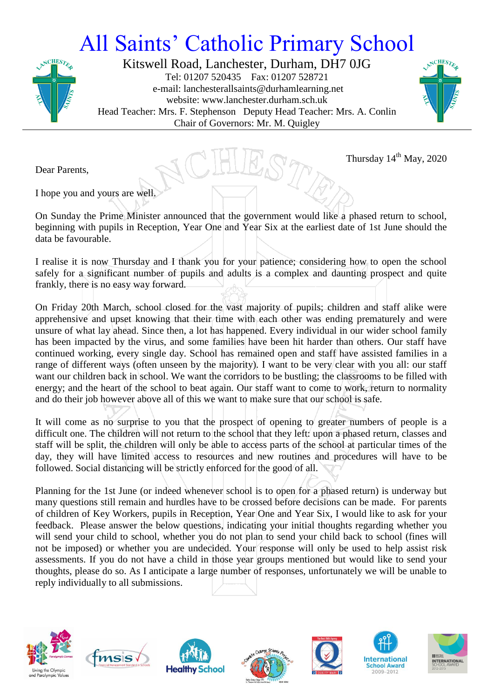## All Saints' Catholic Primary School



Kitswell Road, Lanchester, Durham, DH7 0JG Tel: 01207 520435 Fax: 01207 528721 e-mail: lanchesterallsaints@durhamlearning.net website: www.lanchester.durham.sch.uk Head Teacher: Mrs. F. Stephenson Deputy Head Teacher: Mrs. A. Conlin Chair of Governors: Mr. M. Quigley



Thursday  $14<sup>th</sup>$  May, 2020

Dear Parents,

I hope you and yours are well.

On Sunday the Prime Minister announced that the government would like a phased return to school, beginning with pupils in Reception, Year One and Year Six at the earliest date of 1st June should the data be favourable.

I realise it is now Thursday and I thank you for your patience; considering how to open the school safely for a significant number of pupils and adults is a complex and daunting prospect and quite frankly, there is no easy way forward.

On Friday 20th March, school closed for the vast majority of pupils; children and staff alike were apprehensive and upset knowing that their time with each other was ending prematurely and were unsure of what lay ahead. Since then, a lot has happened. Every individual in our wider school family has been impacted by the virus, and some families have been hit harder than others. Our staff have continued working, every single day. School has remained open and staff have assisted families in a range of different ways (often unseen by the majority). I want to be very clear with you all: our staff want our children back in school. We want the corridors to be bustling; the classrooms to be filled with energy; and the heart of the school to beat again. Our staff want to come to work, return to normality and do their job however above all of this we want to make sure that our school is safe.

It will come as no surprise to you that the prospect of opening to greater numbers of people is a difficult one. The children will not return to the school that they left: upon a phased return, classes and staff will be split, the children will only be able to access parts of the school at particular times of the day, they will have limited access to resources and new routines and procedures will have to be followed. Social distancing will be strictly enforced for the good of all.

Planning for the 1st June (or indeed whenever school is to open for a phased return) is underway but many questions still remain and hurdles have to be crossed before decisions can be made. For parents of children of Key Workers, pupils in Reception, Year One and Year Six, I would like to ask for your feedback. Please answer the below questions, indicating your initial thoughts regarding whether you will send your child to school, whether you do not plan to send your child back to school (fines will not be imposed) or whether you are undecided. Your response will only be used to help assist risk assessments. If you do not have a child in those year groups mentioned but would like to send your thoughts, please do so. As I anticipate a large number of responses, unfortunately we will be unable to reply individually to all submissions.